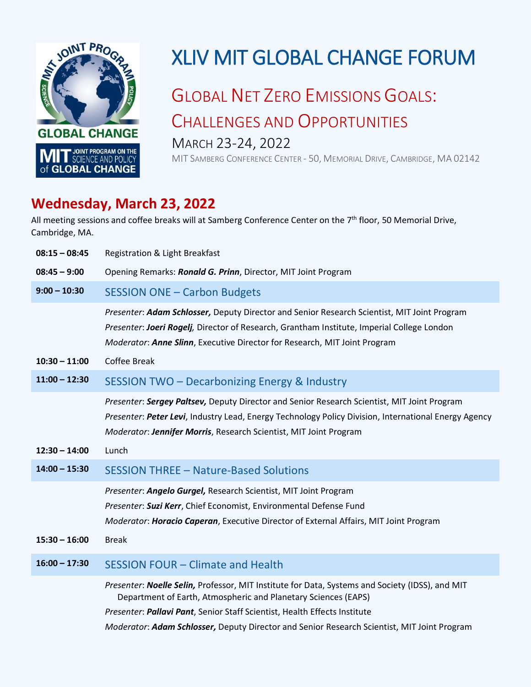

## XLIV MIT GLOBAL CHANGE FORUM

## GLOBAL NET ZERO EMISSIONS GOALS: CHALLENGES AND OPPORTUNITIES MARCH 23-24, 2022

MIT SAMBERG CONFERENCE CENTER - 50, MEMORIAL DRIVE, CAMBRIDGE, MA 02142

## **Wednesday, March 23, 2022**

All meeting sessions and coffee breaks will at Samberg Conference Center on the 7<sup>th</sup> floor, 50 Memorial Drive, Cambridge, MA.

| $08:15 - 08:45$ | Registration & Light Breakfast                                                                                                                                                                                                                                                                                                                |
|-----------------|-----------------------------------------------------------------------------------------------------------------------------------------------------------------------------------------------------------------------------------------------------------------------------------------------------------------------------------------------|
| $08:45 - 9:00$  | Opening Remarks: Ronald G. Prinn, Director, MIT Joint Program                                                                                                                                                                                                                                                                                 |
| $9:00 - 10:30$  | <b>SESSION ONE - Carbon Budgets</b>                                                                                                                                                                                                                                                                                                           |
|                 | Presenter: Adam Schlosser, Deputy Director and Senior Research Scientist, MIT Joint Program<br>Presenter: Joeri Rogelj, Director of Research, Grantham Institute, Imperial College London<br>Moderator: Anne Slinn, Executive Director for Research, MIT Joint Program                                                                        |
| $10:30 - 11:00$ | Coffee Break                                                                                                                                                                                                                                                                                                                                  |
| $11:00 - 12:30$ | SESSION TWO - Decarbonizing Energy & Industry                                                                                                                                                                                                                                                                                                 |
|                 | Presenter: Sergey Paltsev, Deputy Director and Senior Research Scientist, MIT Joint Program<br>Presenter: Peter Levi, Industry Lead, Energy Technology Policy Division, International Energy Agency<br>Moderator: Jennifer Morris, Research Scientist, MIT Joint Program                                                                      |
| $12:30 - 14:00$ | Lunch                                                                                                                                                                                                                                                                                                                                         |
| $14:00 - 15:30$ | <b>SESSION THREE - Nature-Based Solutions</b>                                                                                                                                                                                                                                                                                                 |
| $15:30 - 16:00$ | Presenter: Angelo Gurgel, Research Scientist, MIT Joint Program<br>Presenter: Suzi Kerr, Chief Economist, Environmental Defense Fund<br>Moderator: Horacio Caperan, Executive Director of External Affairs, MIT Joint Program<br><b>Break</b>                                                                                                 |
| $16:00 - 17:30$ | <b>SESSION FOUR - Climate and Health</b>                                                                                                                                                                                                                                                                                                      |
|                 | Presenter: Noelle Selin, Professor, MIT Institute for Data, Systems and Society (IDSS), and MIT<br>Department of Earth, Atmospheric and Planetary Sciences (EAPS)<br>Presenter: Pallavi Pant, Senior Staff Scientist, Health Effects Institute<br>Moderator: Adam Schlosser, Deputy Director and Senior Research Scientist, MIT Joint Program |